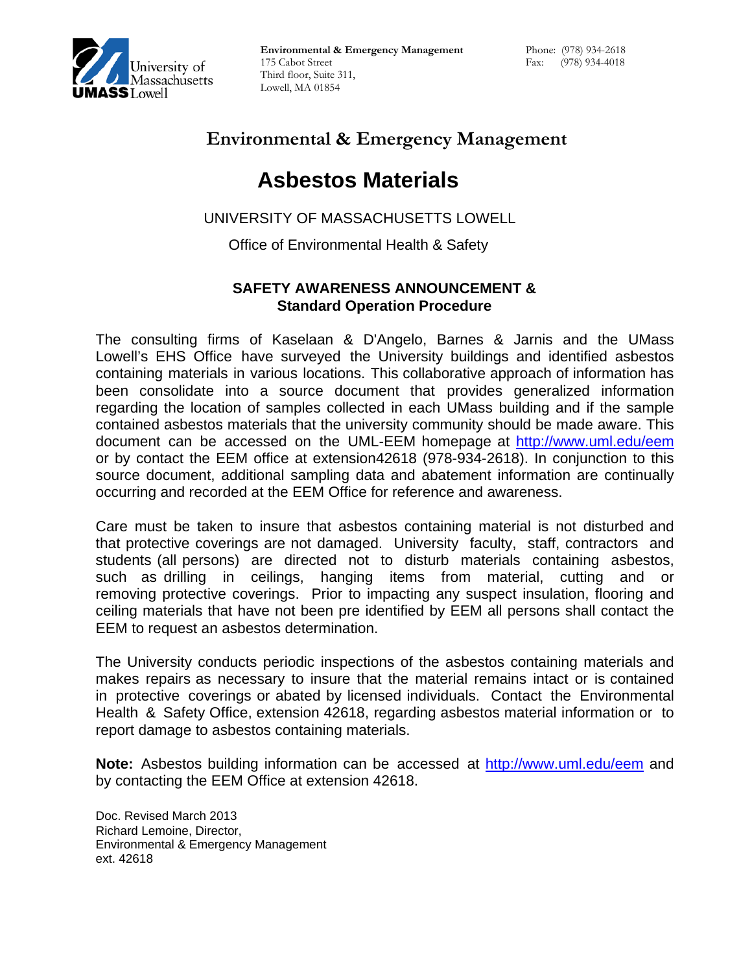

**Environmental & Emergency Management** Phone: (978) 934-2618 175 Cabot Street Fax: (978) 934-4018 Third floor, Suite 311, Lowell, MA 01854

## **Environmental & Emergency Management**

# **Asbestos Materials**

### UNIVERSITY OF MASSACHUSETTS LOWELL

Office of Environmental Health & Safety

#### **SAFETY AWARENESS ANNOUNCEMENT & Standard Operation Procedure**

The consulting firms of Kaselaan & D'Angelo, Barnes & Jarnis and the UMass Lowell's EHS Office have surveyed the University buildings and identified asbestos containing materials in various locations. This collaborative approach of information has been consolidate into a source document that provides generalized information regarding the location of samples collected in each UMass building and if the sample contained asbestos materials that the university community should be made aware. This document can be accessed on the UML-EEM homepage at <http://www.uml.edu/eem> or by contact the EEM office at extension42618 (978-934-2618). In conjunction to this source document, additional sampling data and abatement information are continually occurring and recorded at the EEM Office for reference and awareness.

Care must be taken to insure that asbestos containing material is not disturbed and that protective coverings are not damaged. University faculty, staff, contractors and students (all persons) are directed not to disturb materials containing asbestos, such as drilling in ceilings, hanging items from material, cutting and or removing protective coverings. Prior to impacting any suspect insulation, flooring and ceiling materials that have not been pre identified by EEM all persons shall contact the EEM to request an asbestos determination.

The University conducts periodic inspections of the asbestos containing materials and makes repairs as necessary to insure that the material remains intact or is contained in protective coverings or abated by licensed individuals. Contact the Environmental Health & Safety Office, extension 42618, regarding asbestos material information or to report damage to asbestos containing materials.

**Note:** Asbestos building information can be accessed at<http://www.uml.edu/eem> and by contacting the EEM Office at extension 42618.

Doc. Revised March 2013 Richard Lemoine, Director, Environmental & Emergency Management ext. 42618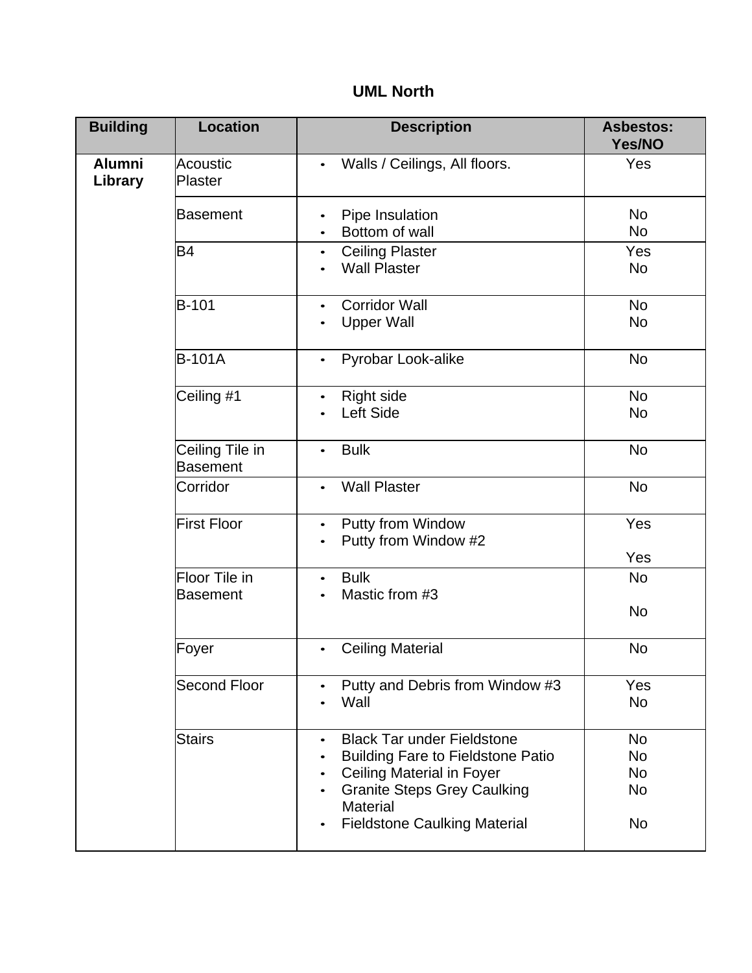## **UML North**

| <b>Building</b>          | <b>Location</b>                  | <b>Description</b>                                                                                                                                                                                                                                             | <b>Asbestos:</b><br>Yes/NO                           |
|--------------------------|----------------------------------|----------------------------------------------------------------------------------------------------------------------------------------------------------------------------------------------------------------------------------------------------------------|------------------------------------------------------|
| <b>Alumni</b><br>Library | Acoustic<br>Plaster              | Walls / Ceilings, All floors.<br>$\bullet$                                                                                                                                                                                                                     | Yes                                                  |
|                          | Basement                         | Pipe Insulation<br>$\bullet$<br>Bottom of wall<br>$\bullet$                                                                                                                                                                                                    | <b>No</b><br><b>No</b>                               |
|                          | <b>B4</b>                        | <b>Ceiling Plaster</b><br>$\bullet$<br><b>Wall Plaster</b>                                                                                                                                                                                                     | Yes<br><b>No</b>                                     |
|                          | <b>B-101</b>                     | <b>Corridor Wall</b><br>$\bullet$<br><b>Upper Wall</b>                                                                                                                                                                                                         | <b>No</b><br><b>No</b>                               |
|                          | <b>B-101A</b>                    | Pyrobar Look-alike<br>$\bullet$                                                                                                                                                                                                                                | <b>No</b>                                            |
|                          | Ceiling #1                       | <b>Right side</b><br>$\bullet$<br>Left Side<br>$\bullet$                                                                                                                                                                                                       | <b>No</b><br><b>No</b>                               |
|                          | Ceiling Tile in<br>Basement      | <b>Bulk</b><br>$\bullet$                                                                                                                                                                                                                                       | <b>No</b>                                            |
|                          | Corridor                         | <b>Wall Plaster</b><br>$\bullet$                                                                                                                                                                                                                               | <b>No</b>                                            |
|                          | <b>First Floor</b>               | Putty from Window<br>$\bullet$<br>Putty from Window #2<br>$\bullet$                                                                                                                                                                                            | Yes<br>Yes                                           |
|                          | Floor Tile in<br><b>Basement</b> | <b>Bulk</b><br>$\bullet$<br>Mastic from #3                                                                                                                                                                                                                     | <b>No</b><br><b>No</b>                               |
|                          | Foyer                            | <b>Ceiling Material</b><br>$\bullet$                                                                                                                                                                                                                           | <b>No</b>                                            |
|                          | <b>Second Floor</b>              | Putty and Debris from Window #3<br>Wall                                                                                                                                                                                                                        | Yes<br>No                                            |
|                          | <b>Stairs</b>                    | <b>Black Tar under Fieldstone</b><br>$\bullet$<br><b>Building Fare to Fieldstone Patio</b><br>$\bullet$<br><b>Ceiling Material in Foyer</b><br>$\bullet$<br><b>Granite Steps Grey Caulking</b><br>$\bullet$<br>Material<br><b>Fieldstone Caulking Material</b> | <b>No</b><br>No<br><b>No</b><br>N <sub>o</sub><br>No |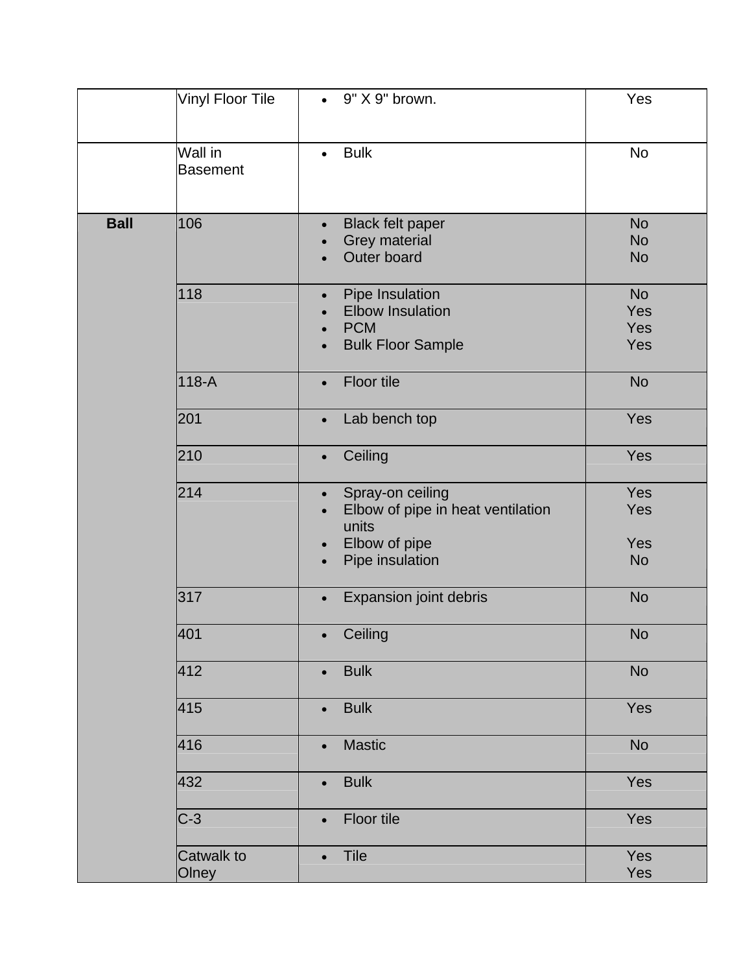|             | <b>Vinyl Floor Tile</b>    | 9" X 9" brown.<br>$\bullet$                                                                                                                            | Yes                                 |
|-------------|----------------------------|--------------------------------------------------------------------------------------------------------------------------------------------------------|-------------------------------------|
|             | Wall in<br><b>Basement</b> | <b>Bulk</b><br>$\bullet$                                                                                                                               | <b>No</b>                           |
| <b>Ball</b> | 106                        | <b>Black felt paper</b><br>$\bullet$<br>Grey material<br>Outer board<br>$\bullet$                                                                      | <b>No</b><br><b>No</b><br><b>No</b> |
|             | 118                        | Pipe Insulation<br>$\bullet$<br><b>Elbow Insulation</b><br>$\bullet$<br><b>PCM</b><br>$\bullet$<br><b>Bulk Floor Sample</b><br>$\bullet$               | <b>No</b><br>Yes<br>Yes<br>Yes      |
|             | 118-A                      | Floor tile<br>$\bullet$                                                                                                                                | <b>No</b>                           |
|             | 201                        | Lab bench top<br>$\bullet$                                                                                                                             | Yes                                 |
|             | 210                        | Ceiling<br>$\bullet$                                                                                                                                   | Yes                                 |
|             | 214                        | Spray-on ceiling<br>$\bullet$<br>Elbow of pipe in heat ventilation<br>$\bullet$<br>units<br>Elbow of pipe<br>$\bullet$<br>Pipe insulation<br>$\bullet$ | Yes<br>Yes<br>Yes<br><b>No</b>      |
|             | 317                        | Expansion joint debris<br>$\bullet$                                                                                                                    | <b>No</b>                           |
|             | 401                        | Ceiling<br>$\bullet$                                                                                                                                   | <b>No</b>                           |
|             | 412                        | <b>Bulk</b><br>$\bullet$                                                                                                                               | <b>No</b>                           |
|             | 415                        | <b>Bulk</b><br>$\bullet$                                                                                                                               | Yes                                 |
|             | 416                        | Mastic<br>$\bullet$                                                                                                                                    | <b>No</b>                           |
|             | 432                        | <b>Bulk</b><br>$\bullet$                                                                                                                               | Yes                                 |
|             | $C-3$                      | Floor tile<br>$\bullet$                                                                                                                                | Yes                                 |
|             | Catwalk to<br>Olney        | <b>Tile</b><br>$\bullet$                                                                                                                               | Yes<br>Yes                          |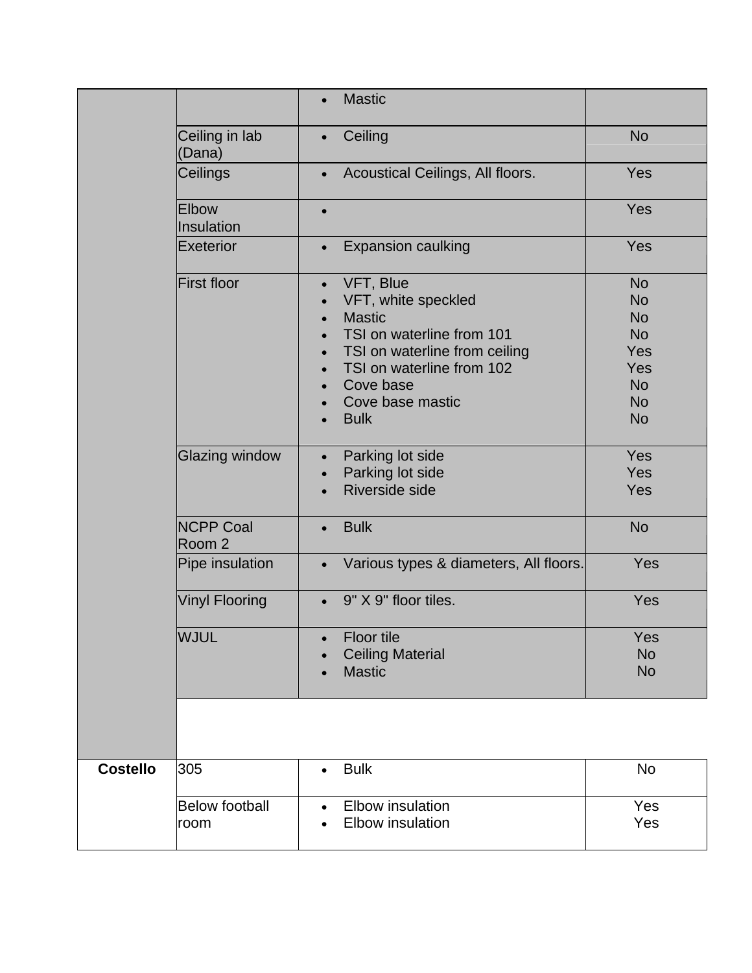|                               | <b>Mastic</b><br>$\bullet$                                                                                                                                                                                                                                                 |                                                                                                       |
|-------------------------------|----------------------------------------------------------------------------------------------------------------------------------------------------------------------------------------------------------------------------------------------------------------------------|-------------------------------------------------------------------------------------------------------|
| Ceiling in lab<br>(Dana)      | Ceiling<br>$\bullet$                                                                                                                                                                                                                                                       | <b>No</b>                                                                                             |
| Ceilings                      | Acoustical Ceilings, All floors.<br>$\bullet$                                                                                                                                                                                                                              | Yes                                                                                                   |
| Elbow<br>Insulation           | $\bullet$                                                                                                                                                                                                                                                                  | Yes                                                                                                   |
| Exeterior                     | <b>Expansion caulking</b><br>$\bullet$                                                                                                                                                                                                                                     | Yes                                                                                                   |
| First floor                   | VFT, Blue<br>$\bullet$<br>VFT, white speckled<br><b>Mastic</b><br>$\bullet$<br>TSI on waterline from 101<br>$\bullet$<br>TSI on waterline from ceiling<br>$\bullet$<br>TSI on waterline from 102<br>$\bullet$<br>Cove base<br>$\bullet$<br>Cove base mastic<br><b>Bulk</b> | <b>No</b><br><b>No</b><br><b>No</b><br><b>No</b><br>Yes<br>Yes<br><b>No</b><br><b>No</b><br><b>No</b> |
| <b>Glazing window</b>         | Parking lot side<br>$\bullet$<br>Parking lot side<br>$\bullet$<br>Riverside side<br>$\bullet$                                                                                                                                                                              | <b>Yes</b><br><b>Yes</b><br>Yes                                                                       |
| <b>NCPP Coal</b><br>Room 2    | <b>Bulk</b><br>$\bullet$                                                                                                                                                                                                                                                   | <b>No</b>                                                                                             |
| Pipe insulation               | Various types & diameters, All floors.<br>$\bullet$                                                                                                                                                                                                                        | Yes                                                                                                   |
| <b>Vinyl Flooring</b>         | 9" X 9" floor tiles.<br>$\bullet$                                                                                                                                                                                                                                          | Yes                                                                                                   |
| <b>WJUL</b>                   | Floor tile<br><b>Ceiling Material</b><br>$\bullet$<br><b>Mastic</b><br>$\bullet$                                                                                                                                                                                           | Yes<br><b>No</b><br><b>No</b>                                                                         |
|                               |                                                                                                                                                                                                                                                                            |                                                                                                       |
| <b>Costello</b><br>305        | <b>Bulk</b><br>$\bullet$                                                                                                                                                                                                                                                   | <b>No</b>                                                                                             |
| <b>Below football</b><br>room | <b>Elbow</b> insulation<br>$\bullet$<br><b>Elbow</b> insulation                                                                                                                                                                                                            | Yes<br>Yes                                                                                            |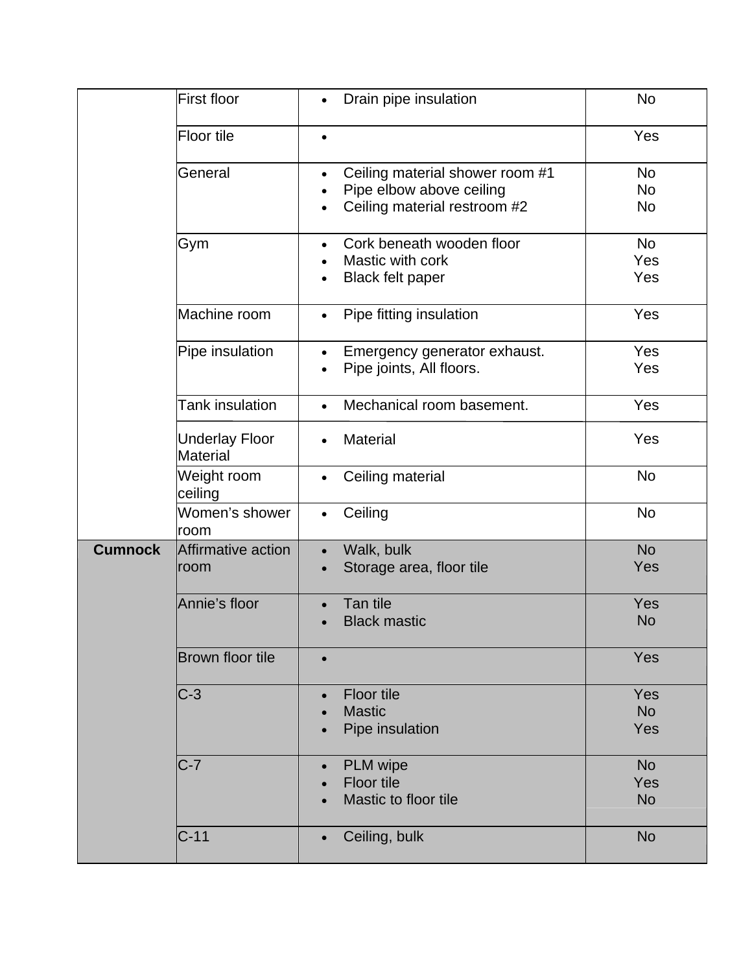|                | First floor                              | Drain pipe insulation<br>$\bullet$                                                                                                 | <b>No</b>                           |
|----------------|------------------------------------------|------------------------------------------------------------------------------------------------------------------------------------|-------------------------------------|
|                | Floor tile                               | $\bullet$                                                                                                                          | Yes                                 |
|                | General                                  | Ceiling material shower room #1<br>$\bullet$<br>Pipe elbow above ceiling<br>$\bullet$<br>Ceiling material restroom #2<br>$\bullet$ | <b>No</b><br><b>No</b><br><b>No</b> |
|                | Gym                                      | Cork beneath wooden floor<br>$\bullet$<br>Mastic with cork<br>$\bullet$<br><b>Black felt paper</b><br>$\bullet$                    | <b>No</b><br>Yes<br>Yes             |
|                | Machine room                             | Pipe fitting insulation<br>$\bullet$                                                                                               | Yes                                 |
|                | Pipe insulation                          | Emergency generator exhaust.<br>$\bullet$<br>Pipe joints, All floors.<br>$\bullet$                                                 | Yes<br>Yes                          |
|                | <b>Tank insulation</b>                   | Mechanical room basement.<br>$\bullet$                                                                                             | Yes                                 |
|                | <b>Underlay Floor</b><br><b>Material</b> | <b>Material</b><br>$\bullet$                                                                                                       | Yes                                 |
|                | Weight room<br>ceiling                   | Ceiling material<br>$\bullet$                                                                                                      | <b>No</b>                           |
|                | Women's shower<br>room                   | Ceiling<br>$\bullet$                                                                                                               | <b>No</b>                           |
| <b>Cumnock</b> | Affirmative action<br> room              | Walk, bulk<br>$\bullet$<br>Storage area, floor tile<br>$\bullet$                                                                   | <b>No</b><br>Yes                    |
|                | Annie's floor                            | Tan tile<br>$\bullet$<br><b>Black mastic</b><br>$\bullet$                                                                          | Yes<br><b>No</b>                    |
|                | Brown floor tile                         | $\bullet$                                                                                                                          | Yes                                 |
|                | $C-3$                                    | <b>Floor tile</b><br>$\bullet$<br><b>Mastic</b><br>$\bullet$<br>Pipe insulation<br>$\bullet$                                       | Yes<br><b>No</b><br>Yes             |
|                | $C-7$                                    | PLM wipe<br>$\bullet$<br><b>Floor tile</b><br>Mastic to floor tile                                                                 | <b>No</b><br>Yes<br><b>No</b>       |
|                | $C-11$                                   | Ceiling, bulk<br>$\bullet$                                                                                                         | <b>No</b>                           |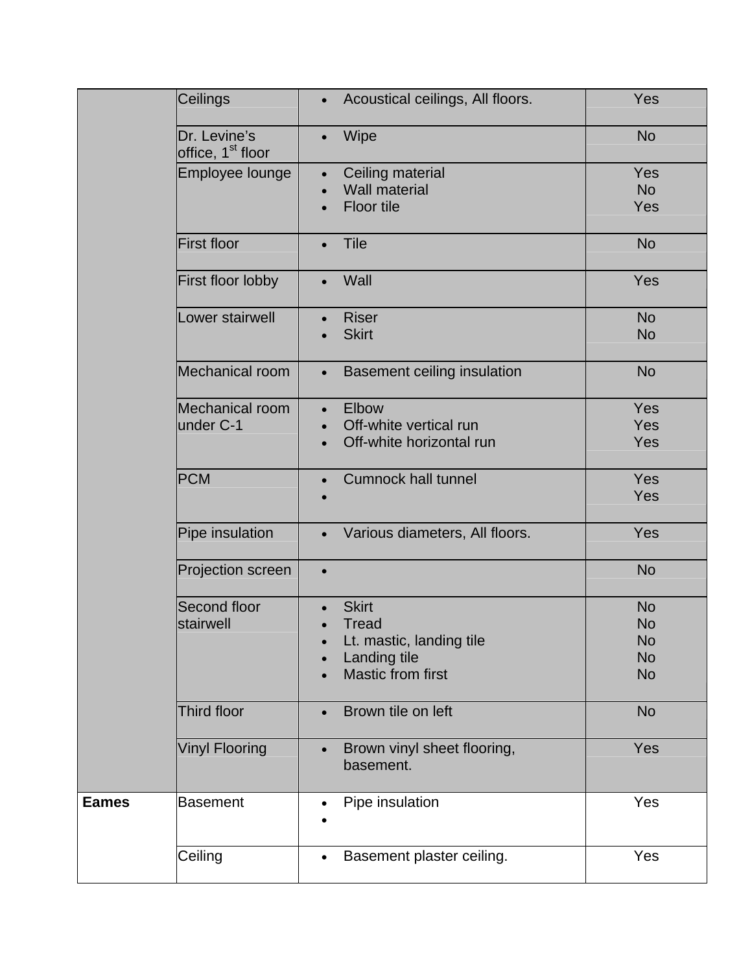|              | Ceilings                                      | Acoustical ceilings, All floors.<br>$\bullet$                                                                     | Yes                                                           |
|--------------|-----------------------------------------------|-------------------------------------------------------------------------------------------------------------------|---------------------------------------------------------------|
|              | Dr. Levine's<br>office, 1 <sup>st</sup> floor | Wipe<br>$\bullet$                                                                                                 | <b>No</b>                                                     |
|              | Employee lounge                               | Ceiling material<br>$\bullet$<br><b>Wall material</b><br>Floor tile<br>$\bullet$                                  | Yes<br><b>No</b><br>Yes                                       |
|              | <b>First floor</b>                            | <b>Tile</b>                                                                                                       | <b>No</b>                                                     |
|              | First floor lobby                             | Wall<br>$\bullet$                                                                                                 | Yes                                                           |
|              | Lower stairwell                               | <b>Riser</b><br><b>Skirt</b>                                                                                      | <b>No</b><br><b>No</b>                                        |
|              | Mechanical room                               | Basement ceiling insulation<br>$\bullet$                                                                          | <b>No</b>                                                     |
|              | Mechanical room<br>under C-1                  | Elbow<br>$\bullet$<br>Off-white vertical run<br>Off-white horizontal run<br>$\bullet$                             | Yes<br>Yes<br>Yes                                             |
|              | <b>PCM</b>                                    | <b>Cumnock hall tunnel</b>                                                                                        | Yes<br>Yes                                                    |
|              | Pipe insulation                               | Various diameters, All floors.<br>$\bullet$                                                                       | Yes                                                           |
|              | Projection screen                             | $\bullet$                                                                                                         | <b>No</b>                                                     |
|              | Second floor<br>stairwell                     | <b>Skirt</b><br><b>Tread</b><br>Lt. mastic, landing tile<br>Landing tile<br><b>Mastic from first</b><br>$\bullet$ | <b>No</b><br><b>No</b><br><b>No</b><br><b>No</b><br><b>No</b> |
|              | Third floor                                   | Brown tile on left<br>$\bullet$                                                                                   | <b>No</b>                                                     |
|              | <b>Vinyl Flooring</b>                         | Brown vinyl sheet flooring,<br>$\bullet$<br>basement.                                                             | Yes                                                           |
| <b>Eames</b> | <b>Basement</b>                               | Pipe insulation                                                                                                   | Yes                                                           |
|              | Ceiling                                       | Basement plaster ceiling.                                                                                         | Yes                                                           |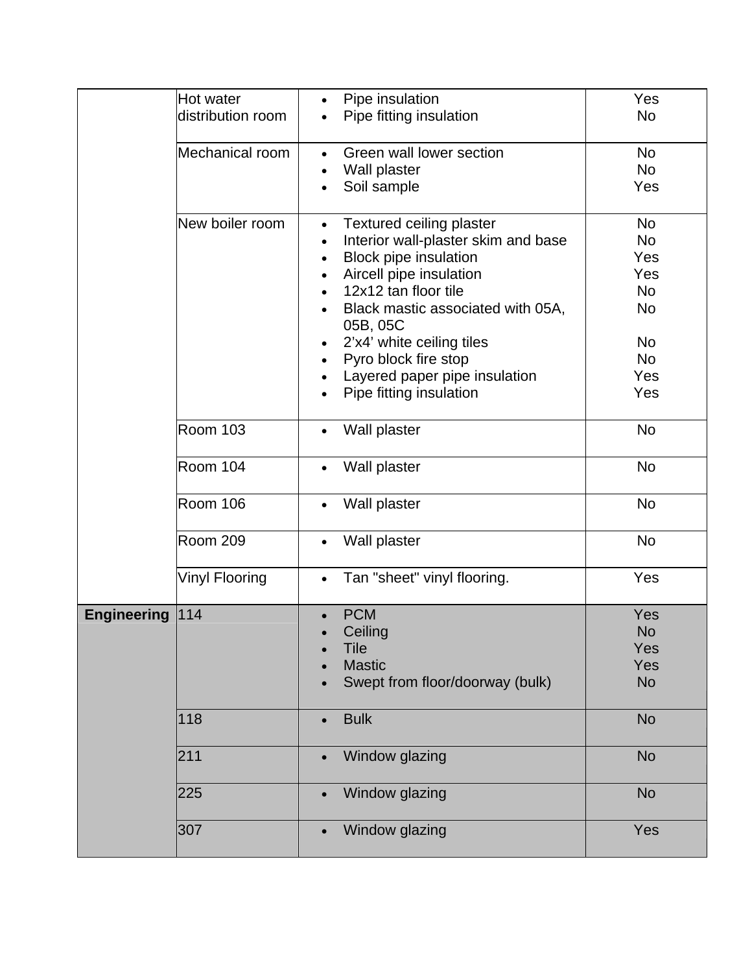|                    | <b>Hot water</b>  | Pipe insulation<br>$\bullet$             | Yes       |
|--------------------|-------------------|------------------------------------------|-----------|
|                    | distribution room | Pipe fitting insulation                  | <b>No</b> |
|                    |                   |                                          |           |
|                    | Mechanical room   | Green wall lower section                 | <b>No</b> |
|                    |                   | Wall plaster                             | <b>No</b> |
|                    |                   | Soil sample                              | Yes       |
|                    |                   |                                          |           |
|                    | New boiler room   | Textured ceiling plaster<br>$\bullet$    | <b>No</b> |
|                    |                   | Interior wall-plaster skim and base      | <b>No</b> |
|                    |                   | <b>Block pipe insulation</b>             | Yes       |
|                    |                   | Aircell pipe insulation                  | Yes       |
|                    |                   | 12x12 tan floor tile                     | <b>No</b> |
|                    |                   | Black mastic associated with 05A,        | <b>No</b> |
|                    |                   | 05B, 05C                                 |           |
|                    |                   | 2'x4' white ceiling tiles                | <b>No</b> |
|                    |                   | Pyro block fire stop                     | <b>No</b> |
|                    |                   | Layered paper pipe insulation            | Yes       |
|                    |                   | Pipe fitting insulation                  | Yes       |
|                    |                   |                                          |           |
|                    | Room 103          | Wall plaster<br>$\bullet$                | <b>No</b> |
|                    | Room 104          | Wall plaster<br>$\bullet$                | <b>No</b> |
|                    | Room 106          | Wall plaster<br>$\bullet$                | <b>No</b> |
|                    | <b>Room 209</b>   | Wall plaster<br>$\bullet$                | <b>No</b> |
|                    | Vinyl Flooring    | Tan "sheet" vinyl flooring.<br>$\bullet$ | Yes       |
| <b>Engineering</b> | 114               | <b>PCM</b>                               | Yes       |
|                    |                   | Ceiling                                  | <b>No</b> |
|                    |                   | Tile                                     | Yes       |
|                    |                   | <b>Mastic</b>                            | Yes       |
|                    |                   | Swept from floor/doorway (bulk)          | <b>No</b> |
|                    |                   |                                          |           |
|                    | 118               | <b>Bulk</b>                              | <b>No</b> |
|                    | 211               | Window glazing                           | <b>No</b> |
|                    | 225               | Window glazing                           | <b>No</b> |
|                    | 307               | Window glazing                           | Yes       |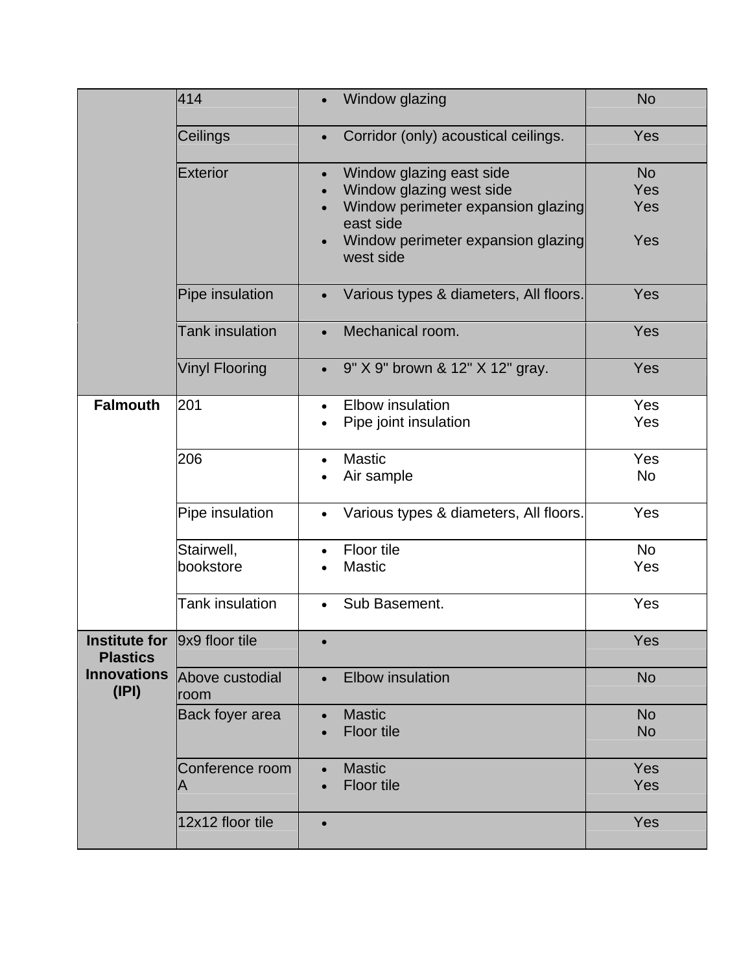|                                         | 414                     | Window glazing                                                                                                                                 | <b>No</b>               |
|-----------------------------------------|-------------------------|------------------------------------------------------------------------------------------------------------------------------------------------|-------------------------|
|                                         | Ceilings                | Corridor (only) acoustical ceilings.<br>$\bullet$                                                                                              | Yes                     |
|                                         | Exterior                | Window glazing east side<br>$\bullet$<br>Window glazing west side<br>$\bullet$<br>Window perimeter expansion glazing<br>$\bullet$<br>east side | <b>No</b><br>Yes<br>Yes |
|                                         |                         | Window perimeter expansion glazing<br>$\bullet$<br>west side                                                                                   | Yes                     |
|                                         | Pipe insulation         | Various types & diameters, All floors.<br>$\bullet$                                                                                            | Yes                     |
|                                         | <b>Tank insulation</b>  | Mechanical room.<br>$\bullet$                                                                                                                  | Yes                     |
|                                         | <b>Vinyl Flooring</b>   | 9" X 9" brown & 12" X 12" gray.<br>$\bullet$                                                                                                   | Yes                     |
| <b>Falmouth</b>                         | 201                     | Elbow insulation<br>$\bullet$                                                                                                                  | Yes                     |
|                                         |                         | Pipe joint insulation                                                                                                                          | Yes                     |
|                                         | 206                     | <b>Mastic</b><br>$\bullet$<br>Air sample                                                                                                       | Yes<br><b>No</b>        |
|                                         | Pipe insulation         | Various types & diameters, All floors.<br>$\bullet$                                                                                            | Yes                     |
|                                         | Stairwell,              | Floor tile                                                                                                                                     | <b>No</b>               |
|                                         | bookstore               | <b>Mastic</b>                                                                                                                                  | Yes                     |
|                                         | <b>Tank insulation</b>  | Sub Basement.<br>$\bullet$                                                                                                                     | Yes                     |
| <b>Institute for</b><br><b>Plastics</b> | 9x9 floor tile          |                                                                                                                                                | Yes                     |
| <b>Innovations</b><br>(IPI)             | Above custodial<br>room | <b>Elbow insulation</b><br>$\bullet$                                                                                                           | <b>No</b>               |
|                                         | Back foyer area         | <b>Mastic</b><br>$\bullet$<br><b>Floor tile</b><br>$\bullet$                                                                                   | <b>No</b><br><b>No</b>  |
|                                         | Conference room<br>ΙA   | <b>Mastic</b><br>$\bullet$<br>Floor tile                                                                                                       | Yes<br>Yes              |
|                                         | 12x12 floor tile        |                                                                                                                                                | Yes                     |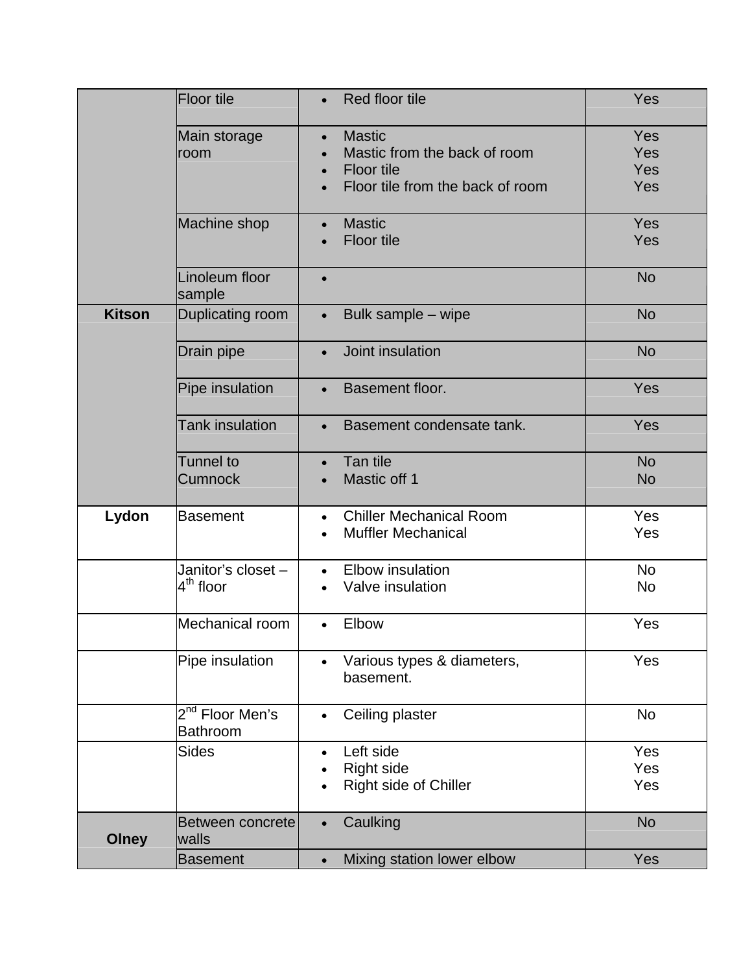|               | <b>Floor tile</b>                              | Red floor tile                                                                                                                                             | Yes                      |
|---------------|------------------------------------------------|------------------------------------------------------------------------------------------------------------------------------------------------------------|--------------------------|
|               | Main storage<br>room                           | <b>Mastic</b><br>$\bullet$<br>Mastic from the back of room<br>$\bullet$<br><b>Floor tile</b><br>$\bullet$<br>Floor tile from the back of room<br>$\bullet$ | Yes<br>Yes<br>Yes<br>Yes |
|               | Machine shop                                   | <b>Mastic</b><br>$\bullet$<br><b>Floor tile</b>                                                                                                            | Yes<br>Yes               |
|               | Linoleum floor<br>sample                       | $\bullet$                                                                                                                                                  | <b>No</b>                |
| <b>Kitson</b> | Duplicating room                               | Bulk sample - wipe<br>$\bullet$                                                                                                                            | <b>No</b>                |
|               | Drain pipe                                     | Joint insulation<br>$\bullet$                                                                                                                              | <b>No</b>                |
|               | Pipe insulation                                | Basement floor.<br>$\bullet$                                                                                                                               | Yes                      |
|               | <b>Tank insulation</b>                         | Basement condensate tank.<br>$\bullet$                                                                                                                     | Yes                      |
|               | Tunnel to<br><b>Cumnock</b>                    | Tan tile<br>$\bullet$<br>Mastic off 1<br>$\bullet$                                                                                                         | <b>No</b><br><b>No</b>   |
| Lydon         | <b>Basement</b>                                | <b>Chiller Mechanical Room</b><br>$\bullet$<br><b>Muffler Mechanical</b>                                                                                   | Yes<br>Yes               |
|               | Janitor's closet -<br>4 <sup>th</sup> floor    | <b>Elbow insulation</b><br>$\bullet$<br>Valve insulation                                                                                                   | <b>No</b><br><b>No</b>   |
|               | Mechanical room                                | Elbow<br>$\bullet$                                                                                                                                         | Yes                      |
|               | Pipe insulation                                | Various types & diameters,<br>basement.                                                                                                                    | Yes                      |
|               | 2 <sup>nd</sup> Floor Men's<br><b>Bathroom</b> | Ceiling plaster<br>$\bullet$                                                                                                                               | <b>No</b>                |
|               | <b>Sides</b>                                   | Left side<br>$\bullet$<br><b>Right side</b><br>Right side of Chiller                                                                                       | Yes<br>Yes<br>Yes        |
| <b>Olney</b>  | Between concrete<br>walls                      | Caulking<br>$\bullet$                                                                                                                                      | <b>No</b>                |
|               | <b>Basement</b>                                | Mixing station lower elbow<br>$\bullet$                                                                                                                    | Yes                      |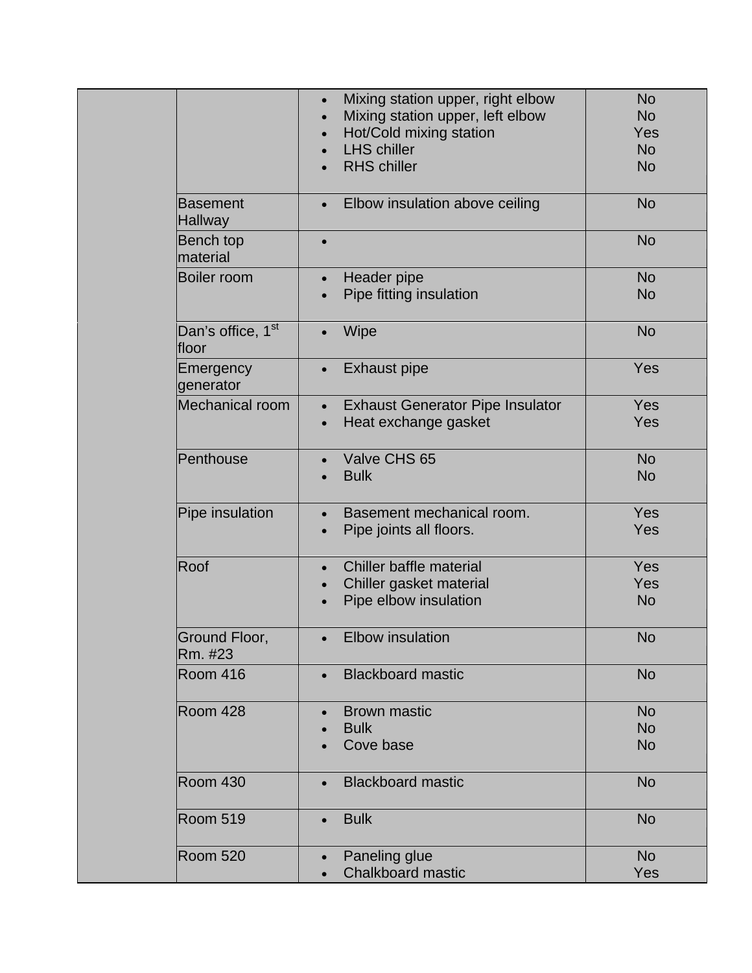|                                        | Mixing station upper, right elbow<br>$\bullet$<br>Mixing station upper, left elbow<br>$\bullet$<br>Hot/Cold mixing station<br>$\bullet$<br><b>LHS chiller</b><br><b>RHS</b> chiller<br>$\bullet$ | <b>No</b><br><b>No</b><br>Yes<br><b>No</b><br><b>No</b> |
|----------------------------------------|--------------------------------------------------------------------------------------------------------------------------------------------------------------------------------------------------|---------------------------------------------------------|
| <b>Basement</b><br><b>Hallway</b>      | Elbow insulation above ceiling<br>$\bullet$                                                                                                                                                      | <b>No</b>                                               |
| <b>Bench top</b><br>material           | $\bullet$                                                                                                                                                                                        | <b>No</b>                                               |
| Boiler room                            | Header pipe<br>$\bullet$<br>Pipe fitting insulation                                                                                                                                              | <b>No</b><br><b>No</b>                                  |
| Dan's office, 1 <sup>st</sup><br>floor | Wipe                                                                                                                                                                                             | <b>No</b>                                               |
| Emergency<br>generator                 | <b>Exhaust pipe</b><br>$\bullet$                                                                                                                                                                 | Yes                                                     |
| Mechanical room                        | <b>Exhaust Generator Pipe Insulator</b><br>$\bullet$<br>Heat exchange gasket<br>$\bullet$                                                                                                        | Yes<br>Yes                                              |
| Penthouse                              | Valve CHS 65<br><b>Bulk</b>                                                                                                                                                                      | <b>No</b><br><b>No</b>                                  |
| Pipe insulation                        | Basement mechanical room.<br>$\bullet$<br>Pipe joints all floors.<br>$\bullet$                                                                                                                   | Yes<br>Yes                                              |
| Roof                                   | Chiller baffle material<br>$\bullet$<br>Chiller gasket material<br>$\bullet$<br>Pipe elbow insulation                                                                                            | Yes<br>Yes<br><b>No</b>                                 |
| Ground Floor,<br>Rm. #23               | <b>Elbow</b> insulation                                                                                                                                                                          | <b>No</b>                                               |
| Room 416                               | <b>Blackboard mastic</b><br>$\bullet$                                                                                                                                                            | <b>No</b>                                               |
| Room 428                               | <b>Brown mastic</b><br>$\bullet$<br><b>Bulk</b><br>Cove base                                                                                                                                     | <b>No</b><br><b>No</b><br><b>No</b>                     |
| Room 430                               | <b>Blackboard mastic</b><br>$\bullet$                                                                                                                                                            | <b>No</b>                                               |
| Room 519                               | <b>Bulk</b><br>$\bullet$                                                                                                                                                                         | <b>No</b>                                               |
| Room 520                               | Paneling glue<br>$\bullet$<br><b>Chalkboard mastic</b><br>$\bullet$                                                                                                                              | <b>No</b><br>Yes                                        |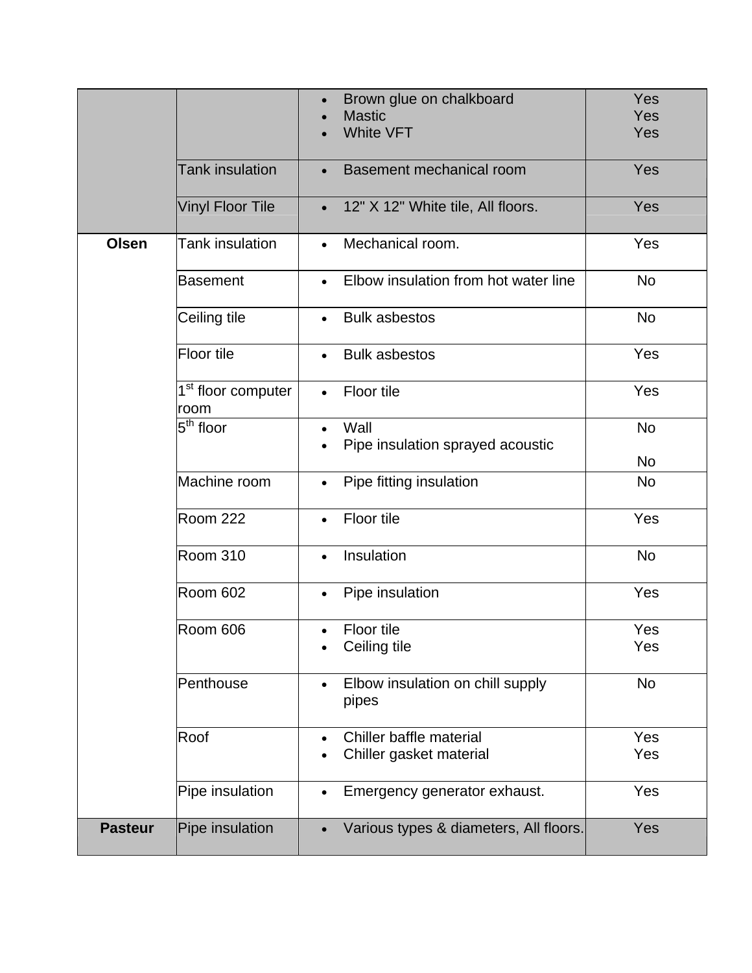|                |                                        | Brown glue on chalkboard<br>$\bullet$<br><b>Mastic</b><br><b>White VFT</b> | Yes<br>Yes<br>Yes      |
|----------------|----------------------------------------|----------------------------------------------------------------------------|------------------------|
|                | <b>Tank insulation</b>                 | <b>Basement mechanical room</b><br>$\bullet$                               | Yes                    |
|                | <b>Vinyl Floor Tile</b>                | 12" X 12" White tile, All floors.<br>$\bullet$                             | Yes                    |
| <b>Olsen</b>   | <b>Tank insulation</b>                 | Mechanical room.<br>$\bullet$                                              | Yes                    |
|                | <b>Basement</b>                        | Elbow insulation from hot water line<br>$\bullet$                          | <b>No</b>              |
|                | Ceiling tile                           | <b>Bulk asbestos</b><br>$\bullet$                                          | <b>No</b>              |
|                | <b>Floor tile</b>                      | <b>Bulk asbestos</b><br>$\bullet$                                          | Yes                    |
|                | 1 <sup>st</sup> floor computer<br>room | Floor tile<br>$\bullet$                                                    | Yes                    |
|                | $5th$ floor                            | Wall<br>$\bullet$<br>Pipe insulation sprayed acoustic                      | <b>No</b>              |
|                | Machine room                           | Pipe fitting insulation                                                    | <b>No</b><br><b>No</b> |
|                | <b>Room 222</b>                        | Floor tile<br>$\bullet$                                                    | Yes                    |
|                | <b>Room 310</b>                        | Insulation<br>$\bullet$                                                    | <b>No</b>              |
|                | <b>Room 602</b>                        | Pipe insulation                                                            | Yes                    |
|                | Room 606                               | Floor tile<br>$\bullet$<br>Ceiling tile<br>$\bullet$                       | Yes<br>Yes             |
|                | Penthouse                              | Elbow insulation on chill supply<br>$\bullet$<br>pipes                     | <b>No</b>              |
|                | Roof                                   | Chiller baffle material<br>$\bullet$<br>Chiller gasket material            | Yes<br>Yes             |
|                | Pipe insulation                        | Emergency generator exhaust.<br>$\bullet$                                  | Yes                    |
| <b>Pasteur</b> | Pipe insulation                        | Various types & diameters, All floors.<br>$\bullet$                        | Yes                    |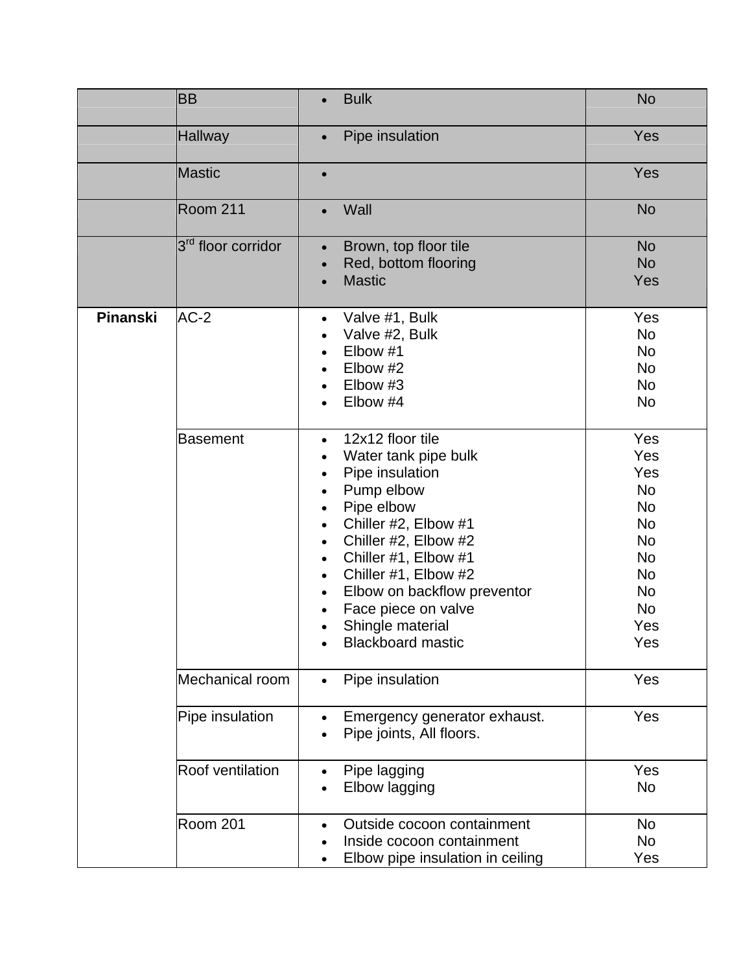|          | <b>BB</b>            | <b>Bulk</b><br>$\bullet$                                                                                                                                                                                                                                                                                                                                                                                                             | <b>No</b>                                                                                                                        |
|----------|----------------------|--------------------------------------------------------------------------------------------------------------------------------------------------------------------------------------------------------------------------------------------------------------------------------------------------------------------------------------------------------------------------------------------------------------------------------------|----------------------------------------------------------------------------------------------------------------------------------|
|          | <b>Hallway</b>       | Pipe insulation<br>$\bullet$                                                                                                                                                                                                                                                                                                                                                                                                         | Yes                                                                                                                              |
|          | Mastic               | $\bullet$                                                                                                                                                                                                                                                                                                                                                                                                                            | Yes                                                                                                                              |
|          | Room 211             | Wall<br>$\bullet$                                                                                                                                                                                                                                                                                                                                                                                                                    | <b>No</b>                                                                                                                        |
|          | $3rd$ floor corridor | Brown, top floor tile<br>$\bullet$<br>Red, bottom flooring<br>$\bullet$<br><b>Mastic</b><br>$\bullet$                                                                                                                                                                                                                                                                                                                                | <b>No</b><br><b>No</b><br>Yes                                                                                                    |
| Pinanski | $AC-2$               | Valve #1, Bulk<br>$\bullet$<br>Valve #2, Bulk<br>Elbow #1<br>$\bullet$<br>Elbow #2<br>$\bullet$<br>Elbow #3<br>Elbow #4                                                                                                                                                                                                                                                                                                              | Yes<br><b>No</b><br>No<br><b>No</b><br><b>No</b><br><b>No</b>                                                                    |
|          | Basement             | 12x12 floor tile<br>$\bullet$<br>Water tank pipe bulk<br>$\bullet$<br>Pipe insulation<br>$\bullet$<br>Pump elbow<br>$\bullet$<br>Pipe elbow<br>$\bullet$<br>Chiller #2, Elbow #1<br>$\bullet$<br>Chiller #2, Elbow #2<br>$\bullet$<br>Chiller #1, Elbow #1<br>$\bullet$<br>Chiller #1, Elbow #2<br>$\bullet$<br>Elbow on backflow preventor<br>$\bullet$<br>Face piece on valve<br>Shingle material<br><b>Blackboard mastic</b><br>٠ | Yes<br>Yes<br>Yes<br><b>No</b><br><b>No</b><br><b>No</b><br><b>No</b><br><b>No</b><br><b>No</b><br>No<br><b>No</b><br>Yes<br>Yes |
|          | Mechanical room      | Pipe insulation<br>$\bullet$                                                                                                                                                                                                                                                                                                                                                                                                         | Yes                                                                                                                              |
|          | Pipe insulation      | Emergency generator exhaust.<br>$\bullet$<br>Pipe joints, All floors.<br>$\bullet$                                                                                                                                                                                                                                                                                                                                                   | Yes                                                                                                                              |
|          | Roof ventilation     | Pipe lagging<br>Elbow lagging                                                                                                                                                                                                                                                                                                                                                                                                        | Yes<br>No                                                                                                                        |
|          | Room 201             | Outside cocoon containment<br>$\bullet$<br>Inside cocoon containment<br>Elbow pipe insulation in ceiling<br>$\bullet$                                                                                                                                                                                                                                                                                                                | <b>No</b><br><b>No</b><br>Yes                                                                                                    |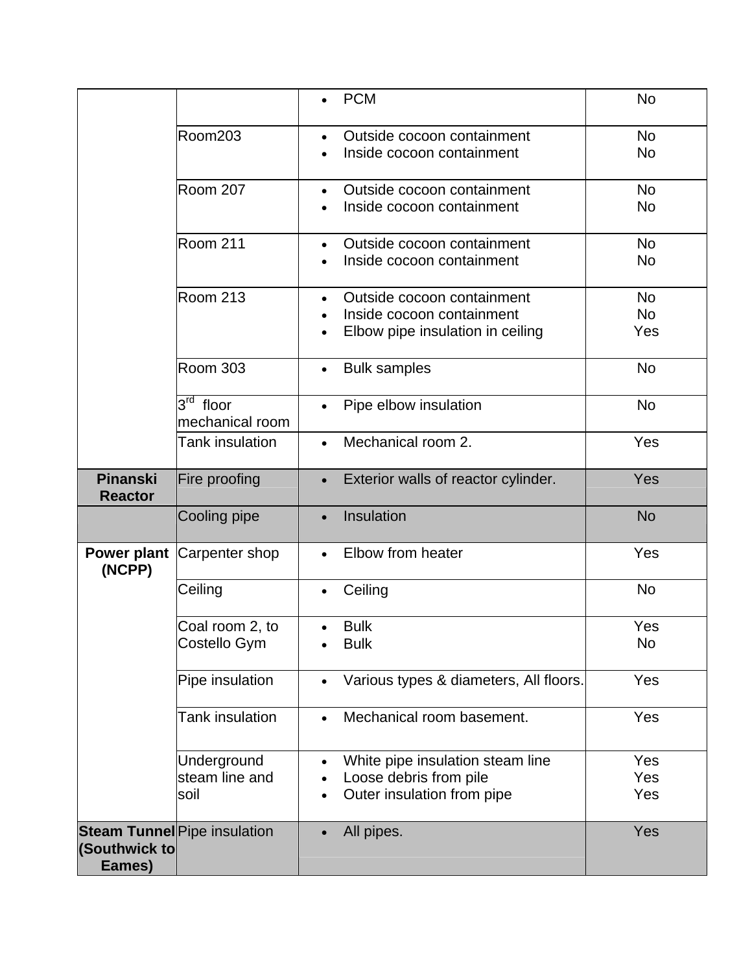|                                   |                                          | <b>PCM</b>                                                                                               | <b>No</b>                     |
|-----------------------------------|------------------------------------------|----------------------------------------------------------------------------------------------------------|-------------------------------|
|                                   | Room203                                  | Outside cocoon containment<br>Inside cocoon containment                                                  | <b>No</b><br><b>No</b>        |
|                                   | Room 207                                 | Outside cocoon containment<br>$\bullet$<br>Inside cocoon containment<br>$\bullet$                        | <b>No</b><br>No               |
|                                   | <b>Room 211</b>                          | Outside cocoon containment<br>$\bullet$<br>Inside cocoon containment                                     | No<br><b>No</b>               |
|                                   | <b>Room 213</b>                          | Outside cocoon containment<br>$\bullet$<br>Inside cocoon containment<br>Elbow pipe insulation in ceiling | <b>No</b><br><b>No</b><br>Yes |
|                                   | <b>Room 303</b>                          | <b>Bulk samples</b><br>$\bullet$                                                                         | <b>No</b>                     |
|                                   | $3^{\text{rd}}$ floor<br>mechanical room | Pipe elbow insulation<br>$\bullet$                                                                       | <b>No</b>                     |
|                                   | <b>Tank insulation</b>                   | Mechanical room 2.<br>$\bullet$                                                                          | Yes                           |
| <b>Pinanski</b><br><b>Reactor</b> | Fire proofing                            | Exterior walls of reactor cylinder.<br>$\bullet$                                                         | Yes                           |
|                                   | Cooling pipe                             | Insulation<br>$\bullet$                                                                                  | <b>No</b>                     |
| (NCPP)                            | <b>Power plant Carpenter shop</b>        | Elbow from heater<br>$\bullet$                                                                           | Yes                           |
|                                   | Ceiling                                  | Ceiling<br>$\bullet$                                                                                     | <b>No</b>                     |
|                                   | Coal room 2, to<br>Costello Gym          | <b>Bulk</b><br>$\bullet$<br><b>Bulk</b>                                                                  | Yes<br>No                     |
|                                   | Pipe insulation                          | Various types & diameters, All floors.                                                                   | Yes                           |
|                                   | <b>Tank insulation</b>                   | Mechanical room basement.<br>$\bullet$                                                                   | Yes                           |
|                                   | Underground<br>steam line and<br>soil    | White pipe insulation steam line<br>$\bullet$<br>Loose debris from pile<br>Outer insulation from pipe    | Yes<br>Yes<br>Yes             |
| (Southwick to<br>Eames)           | <b>Steam Tunnel</b> Pipe insulation      | All pipes.<br>$\bullet$                                                                                  | Yes                           |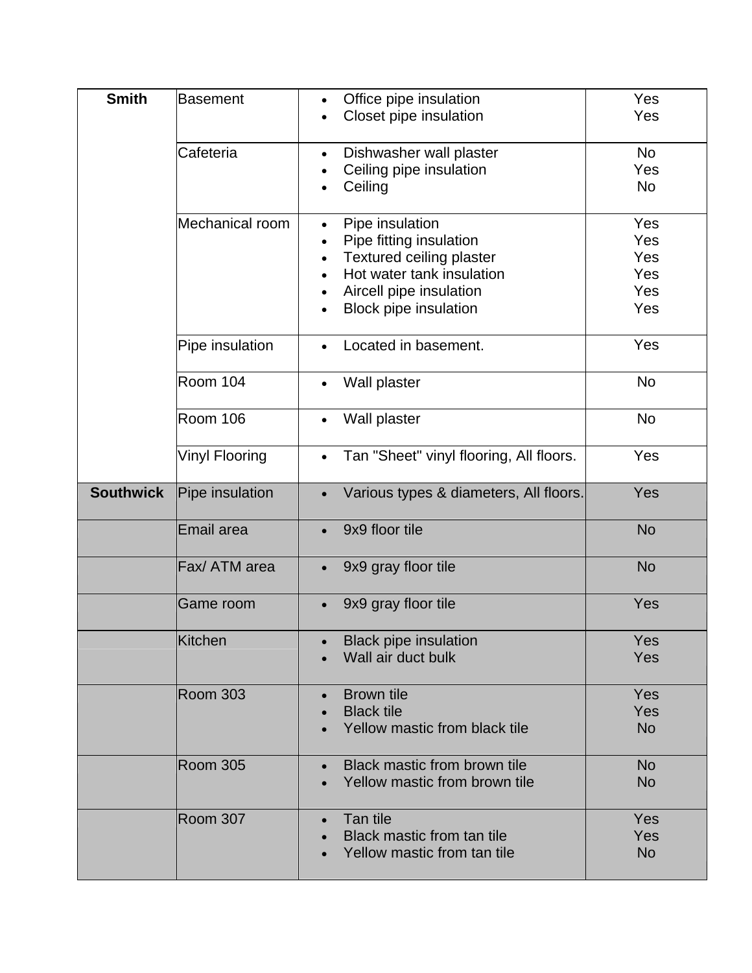| <b>Smith</b>     | <b>Basement</b>       | Office pipe insulation<br>$\bullet$<br>Closet pipe insulation                                                                                                                                                      | Yes<br>Yes                             |
|------------------|-----------------------|--------------------------------------------------------------------------------------------------------------------------------------------------------------------------------------------------------------------|----------------------------------------|
|                  | Cafeteria             | Dishwasher wall plaster<br>$\bullet$<br>Ceiling pipe insulation<br>Ceiling                                                                                                                                         | <b>No</b><br>Yes<br><b>No</b>          |
|                  | Mechanical room       | Pipe insulation<br>$\bullet$<br>Pipe fitting insulation<br>Textured ceiling plaster<br>$\bullet$<br>Hot water tank insulation<br>$\bullet$<br>Aircell pipe insulation<br><b>Block pipe insulation</b><br>$\bullet$ | Yes<br>Yes<br>Yes<br>Yes<br>Yes<br>Yes |
|                  | Pipe insulation       | Located in basement.                                                                                                                                                                                               | Yes                                    |
|                  | Room 104              | Wall plaster<br>$\bullet$                                                                                                                                                                                          | <b>No</b>                              |
|                  | Room 106              | Wall plaster<br>$\bullet$                                                                                                                                                                                          | <b>No</b>                              |
|                  | <b>Vinyl Flooring</b> | Tan "Sheet" vinyl flooring, All floors.<br>$\bullet$                                                                                                                                                               | Yes                                    |
| <b>Southwick</b> | Pipe insulation       | Various types & diameters, All floors.<br>$\bullet$                                                                                                                                                                | Yes                                    |
|                  | Email area            | 9x9 floor tile<br>$\bullet$                                                                                                                                                                                        | <b>No</b>                              |
|                  | Fax/ ATM area         | 9x9 gray floor tile<br>$\bullet$                                                                                                                                                                                   | <b>No</b>                              |
|                  | Game room             | 9x9 gray floor tile<br>$\bullet$                                                                                                                                                                                   | Yes                                    |
|                  | Kitchen               | <b>Black pipe insulation</b><br>Wall air duct bulk                                                                                                                                                                 | Yes<br>Yes                             |
|                  | <b>Room 303</b>       | <b>Brown tile</b><br>$\bullet$<br><b>Black tile</b><br>$\bullet$<br>Yellow mastic from black tile                                                                                                                  | Yes<br>Yes<br><b>No</b>                |
|                  | Room 305              | <b>Black mastic from brown tile</b><br>$\bullet$<br>Yellow mastic from brown tile                                                                                                                                  | <b>No</b><br><b>No</b>                 |
|                  | Room 307              | Tan tile<br>$\bullet$<br><b>Black mastic from tan tile</b><br>Yellow mastic from tan tile                                                                                                                          | Yes<br>Yes<br><b>No</b>                |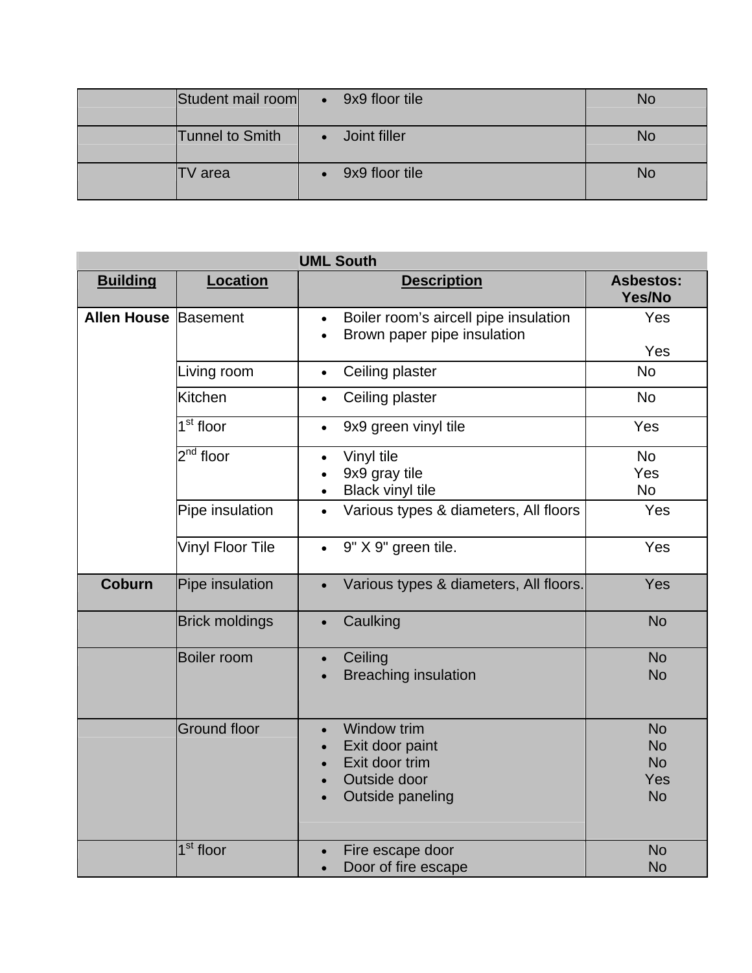| Student mail room |           | $\bullet$ 9x9 floor tile | No |
|-------------------|-----------|--------------------------|----|
| Tunnel to Smith   | $\bullet$ | Joint filler             | No |
| TV area           |           | 9x9 floor tile           | No |

| <b>UML South</b>            |                         |                                                                                                |                            |
|-----------------------------|-------------------------|------------------------------------------------------------------------------------------------|----------------------------|
| <b>Building</b>             | <b>Location</b>         | <b>Description</b>                                                                             | <b>Asbestos:</b><br>Yes/No |
| <b>Allen House Basement</b> |                         | Boiler room's aircell pipe insulation<br>$\bullet$<br>Brown paper pipe insulation<br>$\bullet$ | Yes                        |
|                             |                         |                                                                                                | Yes                        |
|                             | Living room             | Ceiling plaster<br>$\bullet$                                                                   | <b>No</b>                  |
|                             | Kitchen                 | Ceiling plaster<br>$\bullet$                                                                   | <b>No</b>                  |
|                             | $1st$ floor             | 9x9 green vinyl tile<br>$\bullet$                                                              | Yes                        |
|                             | $2^{nd}$ floor          | Vinyl tile<br>$\bullet$                                                                        | <b>No</b>                  |
|                             |                         | 9x9 gray tile                                                                                  | Yes                        |
|                             |                         | <b>Black vinyl tile</b><br>$\bullet$                                                           | <b>No</b>                  |
|                             | Pipe insulation         | Various types & diameters, All floors<br>$\bullet$                                             | Yes                        |
|                             | <b>Vinyl Floor Tile</b> | 9" X 9" green tile.<br>$\bullet$                                                               | Yes                        |
| <b>Coburn</b>               | Pipe insulation         | Various types & diameters, All floors.<br>$\bullet$                                            | Yes                        |
|                             | <b>Brick moldings</b>   | Caulking<br>$\bullet$                                                                          | <b>No</b>                  |
|                             | Boiler room             | Ceiling<br>$\bullet$                                                                           | <b>No</b>                  |
|                             |                         | <b>Breaching insulation</b>                                                                    | <b>No</b>                  |
|                             | <b>Ground floor</b>     | <b>Window trim</b><br>$\bullet$                                                                | <b>No</b>                  |
|                             |                         | Exit door paint                                                                                | <b>No</b>                  |
|                             |                         | Exit door trim                                                                                 | <b>No</b>                  |
|                             |                         | Outside door                                                                                   | Yes                        |
|                             |                         | Outside paneling                                                                               | <b>No</b>                  |
|                             | 1 <sup>st</sup> floor   | Fire escape door<br>$\bullet$                                                                  | <b>No</b>                  |
|                             |                         | Door of fire escape<br>$\bullet$                                                               | <b>No</b>                  |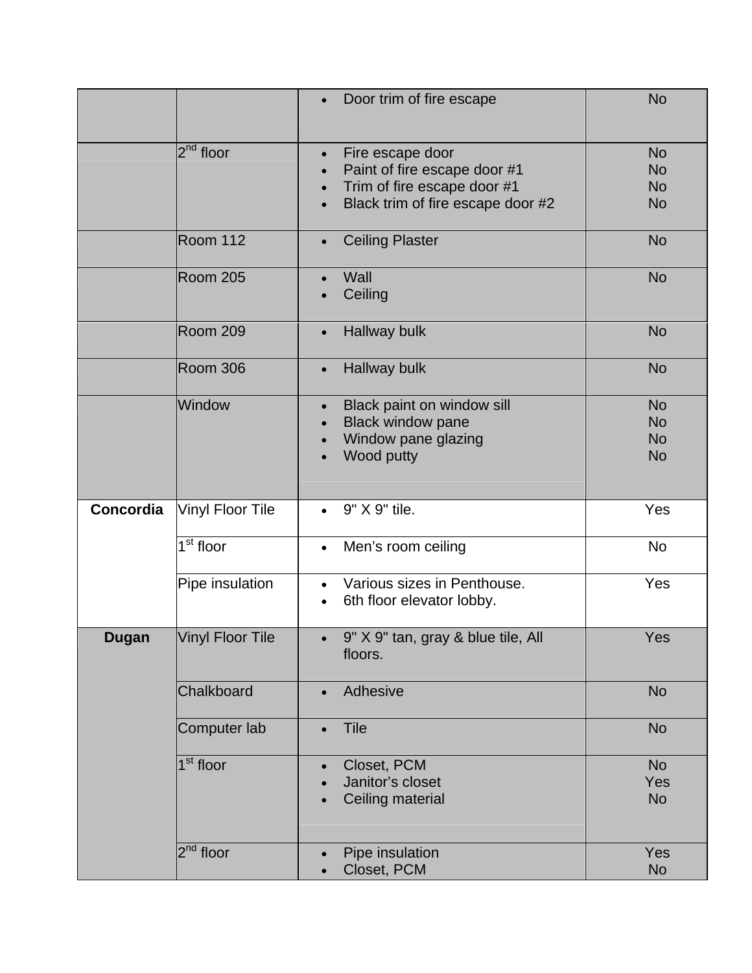|              |                         | Door trim of fire escape                                                                                                                                    | <b>No</b>                                        |
|--------------|-------------------------|-------------------------------------------------------------------------------------------------------------------------------------------------------------|--------------------------------------------------|
|              | 2 <sup>nd</sup> floor   | Fire escape door<br>$\bullet$<br>Paint of fire escape door #1<br>$\bullet$<br>Trim of fire escape door #1<br>$\bullet$<br>Black trim of fire escape door #2 | <b>No</b><br><b>No</b><br><b>No</b><br><b>No</b> |
|              | <b>Room 112</b>         | <b>Ceiling Plaster</b><br>$\bullet$                                                                                                                         | <b>No</b>                                        |
|              | <b>Room 205</b>         | Wall<br>$\bullet$<br>Ceiling                                                                                                                                | <b>No</b>                                        |
|              | <b>Room 209</b>         | Hallway bulk<br>$\bullet$                                                                                                                                   | <b>No</b>                                        |
|              | Room 306                | Hallway bulk<br>$\bullet$                                                                                                                                   | <b>No</b>                                        |
|              | Window                  | Black paint on window sill<br>$\bullet$<br><b>Black window pane</b><br>$\bullet$<br>Window pane glazing<br>Wood putty                                       | <b>No</b><br><b>No</b><br><b>No</b><br><b>No</b> |
| Concordia    | Vinyl Floor Tile        | 9" X 9" tile.<br>$\bullet$                                                                                                                                  | Yes                                              |
|              | 1 <sup>st</sup> floor   | Men's room ceiling<br>$\bullet$                                                                                                                             | <b>No</b>                                        |
|              | Pipe insulation         | Various sizes in Penthouse.<br>$\bullet$<br>6th floor elevator lobby.<br>$\bullet$                                                                          | Yes                                              |
| <b>Dugan</b> | <b>Vinyl Floor Tile</b> | 9" X 9" tan, gray & blue tile, All<br>floors.                                                                                                               | Yes                                              |
|              | Chalkboard              | Adhesive<br>$\bullet$                                                                                                                                       | <b>No</b>                                        |
|              | Computer lab            | Tile<br>$\bullet$                                                                                                                                           | <b>No</b>                                        |
|              | 1 <sup>st</sup> floor   | Closet, PCM<br>$\bullet$<br>Janitor's closet<br>Ceiling material                                                                                            | <b>No</b><br>Yes<br><b>No</b>                    |
|              | $2^{nd}$ floor          | Pipe insulation<br>$\bullet$<br>Closet, PCM<br>$\bullet$                                                                                                    | <b>Yes</b><br><b>No</b>                          |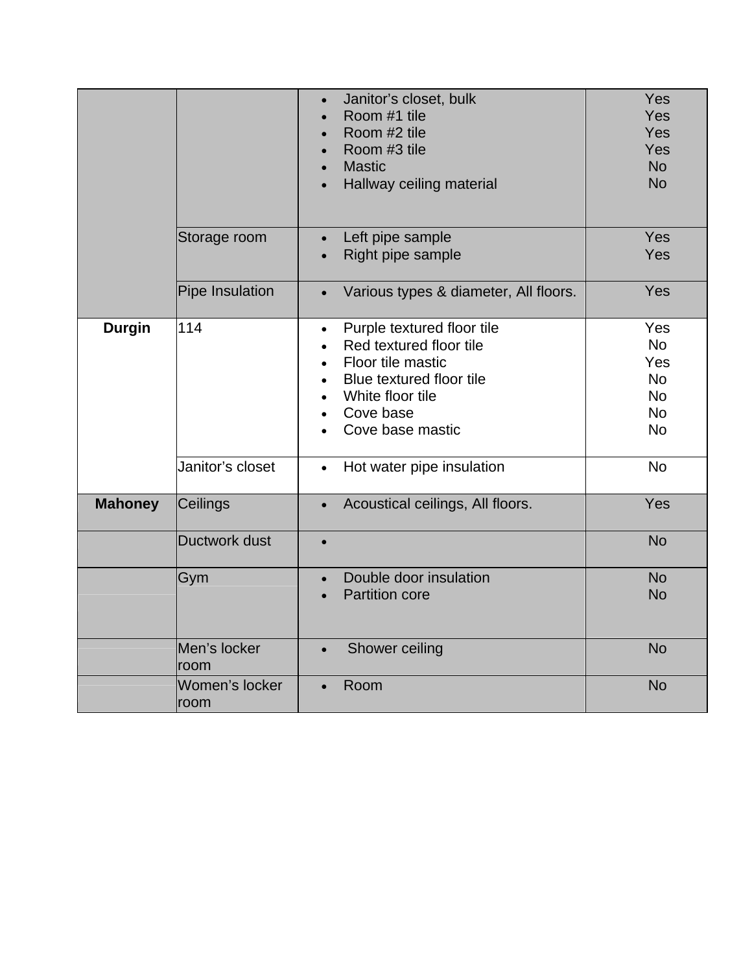|                |                        | Janitor's closet, bulk<br>$\bullet$<br>Room #1 tile<br>$\bullet$<br>Room #2 tile<br>$\bullet$<br>Room #3 tile<br>$\bullet$<br><b>Mastic</b><br>$\bullet$                       | Yes<br>Yes<br>Yes<br>Yes<br><b>No</b>                          |
|----------------|------------------------|--------------------------------------------------------------------------------------------------------------------------------------------------------------------------------|----------------------------------------------------------------|
|                |                        | Hallway ceiling material<br>$\bullet$                                                                                                                                          | <b>No</b>                                                      |
|                | Storage room           | Left pipe sample<br>$\bullet$<br>Right pipe sample<br>$\bullet$                                                                                                                | <b>Yes</b><br><b>Yes</b>                                       |
|                | Pipe Insulation        | Various types & diameter, All floors.<br>$\bullet$                                                                                                                             | Yes                                                            |
| <b>Durgin</b>  | 114                    | Purple textured floor tile<br>$\bullet$<br>Red textured floor tile<br>Floor tile mastic<br>Blue textured floor tile<br>$\bullet$<br>White floor tile<br>$\bullet$<br>Cove base | Yes<br><b>No</b><br>Yes<br><b>No</b><br><b>No</b><br><b>No</b> |
|                | Janitor's closet       | Cove base mastic                                                                                                                                                               | <b>No</b><br><b>No</b>                                         |
|                |                        | Hot water pipe insulation<br>$\bullet$                                                                                                                                         |                                                                |
| <b>Mahoney</b> | Ceilings               | Acoustical ceilings, All floors.<br>$\bullet$                                                                                                                                  | Yes                                                            |
|                | Ductwork dust          | $\bullet$                                                                                                                                                                      | <b>No</b>                                                      |
|                | Gym                    | Double door insulation<br>$\bullet$<br><b>Partition core</b>                                                                                                                   | <b>No</b><br><b>No</b>                                         |
|                | Men's locker<br>room   | Shower ceiling<br>$\bullet$                                                                                                                                                    | <b>No</b>                                                      |
|                | Women's locker<br>room | Room                                                                                                                                                                           | <b>No</b>                                                      |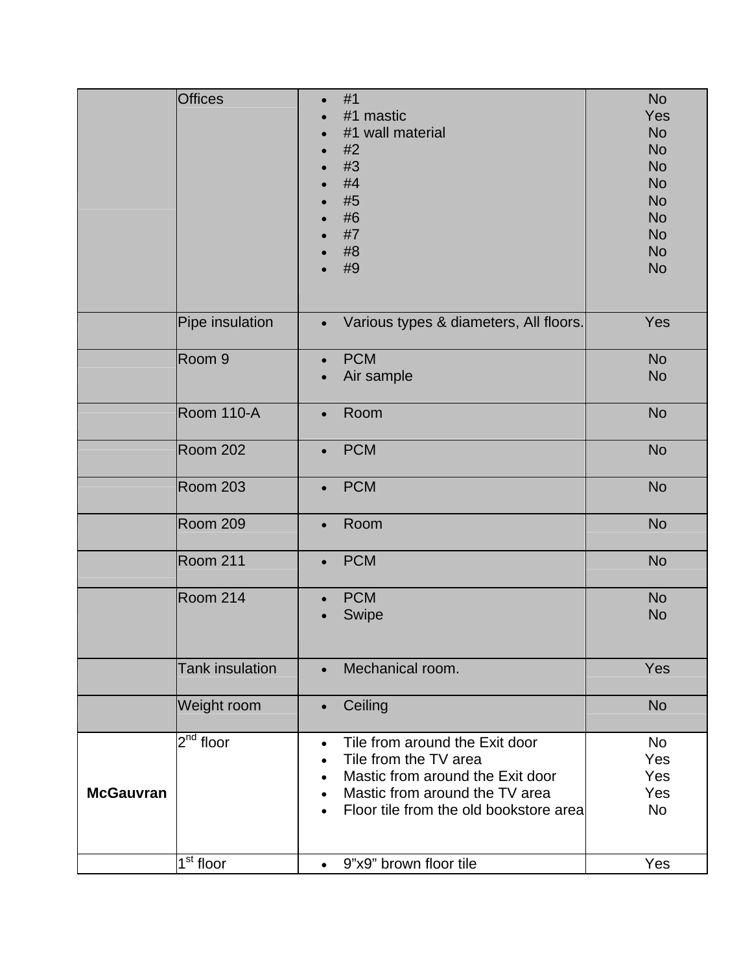|                  | <b>Offices</b>         | #1<br>$\bullet$<br>#1 mastic<br>$\bullet$<br>#1 wall material<br>$\bullet$<br>#2<br>#3<br>$\bullet$<br>#4<br>#5<br>$\bullet$<br>#6<br>$\bullet$<br>#7<br>#8<br>#9                                                                        | <b>No</b><br>Yes<br><b>No</b><br><b>No</b><br><b>No</b><br><b>No</b><br><b>No</b><br><b>No</b><br><b>No</b><br><b>No</b><br><b>No</b> |
|------------------|------------------------|------------------------------------------------------------------------------------------------------------------------------------------------------------------------------------------------------------------------------------------|---------------------------------------------------------------------------------------------------------------------------------------|
|                  | Pipe insulation        | Various types & diameters, All floors.<br>$\bullet$                                                                                                                                                                                      | Yes                                                                                                                                   |
|                  | Room <sub>9</sub>      | <b>PCM</b><br>$\bullet$<br>Air sample                                                                                                                                                                                                    | <b>No</b><br><b>No</b>                                                                                                                |
|                  | Room 110-A             | Room<br>$\bullet$                                                                                                                                                                                                                        | <b>No</b>                                                                                                                             |
|                  | <b>Room 202</b>        | <b>PCM</b><br>$\bullet$                                                                                                                                                                                                                  | <b>No</b>                                                                                                                             |
|                  | <b>Room 203</b>        | <b>PCM</b><br>$\bullet$                                                                                                                                                                                                                  | <b>No</b>                                                                                                                             |
|                  | Room 209               | Room<br>$\bullet$                                                                                                                                                                                                                        | <b>No</b>                                                                                                                             |
|                  | Room 211               | <b>PCM</b><br>$\bullet$                                                                                                                                                                                                                  | <b>No</b>                                                                                                                             |
|                  | Room 214               | <b>PCM</b><br>$\bullet$<br>Swipe                                                                                                                                                                                                         | <b>No</b><br><b>No</b>                                                                                                                |
|                  | <b>Tank insulation</b> | Mechanical room.<br>$\bullet$                                                                                                                                                                                                            | Yes                                                                                                                                   |
|                  | Weight room            | Ceiling<br>$\bullet$                                                                                                                                                                                                                     | <b>No</b>                                                                                                                             |
| <b>McGauvran</b> | 2 <sup>nd</sup> floor  | Tile from around the Exit door<br>$\bullet$<br>Tile from the TV area<br>$\bullet$<br>Mastic from around the Exit door<br>$\bullet$<br>Mastic from around the TV area<br>$\bullet$<br>Floor tile from the old bookstore area<br>$\bullet$ | <b>No</b><br>Yes<br>Yes<br>Yes<br><b>No</b>                                                                                           |
|                  | 1 <sup>st</sup> floor  | 9"x9" brown floor tile<br>$\bullet$                                                                                                                                                                                                      | Yes                                                                                                                                   |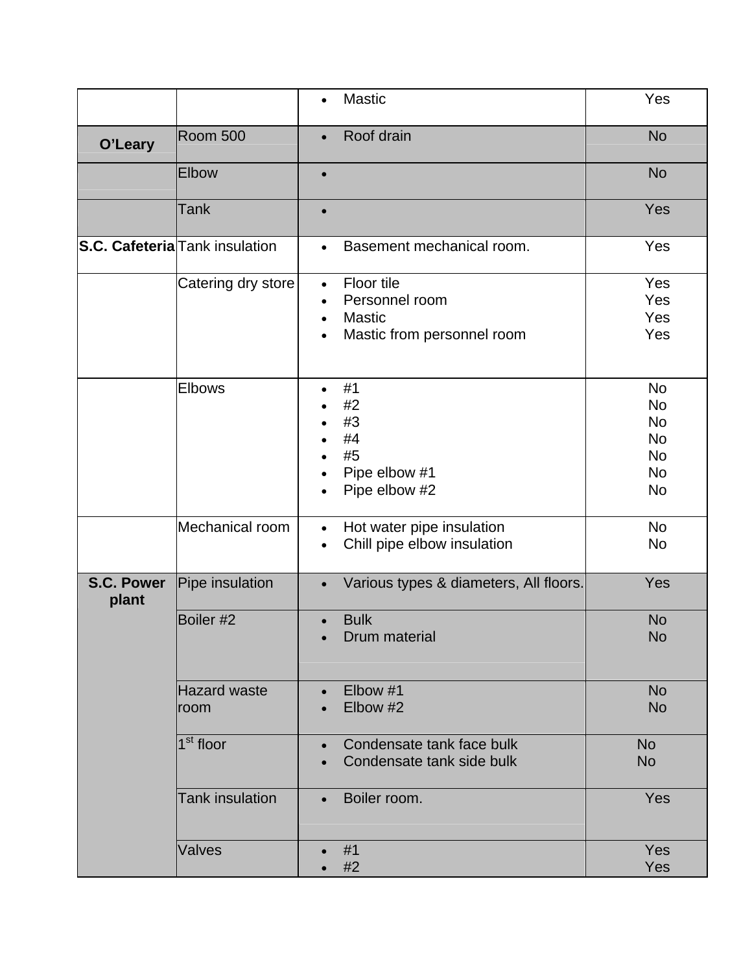|                            |                                       | <b>Mastic</b><br>$\bullet$                                                                                                      | Yes                                                                                     |
|----------------------------|---------------------------------------|---------------------------------------------------------------------------------------------------------------------------------|-----------------------------------------------------------------------------------------|
| O'Leary                    | Room 500                              | Roof drain<br>$\bullet$                                                                                                         | <b>No</b>                                                                               |
|                            | Elbow                                 | $\bullet$                                                                                                                       | <b>No</b>                                                                               |
|                            | <b>Tank</b>                           | $\bullet$                                                                                                                       | Yes                                                                                     |
|                            | <b>S.C. Cafeteria</b> Tank insulation | Basement mechanical room.<br>$\bullet$                                                                                          | Yes                                                                                     |
|                            | Catering dry store                    | Floor tile<br>$\bullet$<br>Personnel room<br>$\bullet$<br><b>Mastic</b><br>$\bullet$<br>Mastic from personnel room<br>$\bullet$ | Yes<br>Yes<br>Yes<br>Yes                                                                |
|                            | <b>Elbows</b>                         | #1<br>$\bullet$<br>#2<br>#3<br>#4<br>$\bullet$<br>#5<br>$\bullet$<br>Pipe elbow #1<br>$\bullet$<br>Pipe elbow #2                | <b>No</b><br><b>No</b><br><b>No</b><br><b>No</b><br><b>No</b><br><b>No</b><br><b>No</b> |
|                            | Mechanical room                       | Hot water pipe insulation<br>$\bullet$<br>Chill pipe elbow insulation<br>$\bullet$                                              | <b>No</b><br><b>No</b>                                                                  |
| <b>S.C. Power</b><br>plant | Pipe insulation                       | Various types & diameters, All floors.<br>$\bullet$                                                                             | Yes                                                                                     |
|                            | Boiler #2                             | <b>Bulk</b><br>$\bullet$<br>Drum material                                                                                       | <b>No</b><br><b>No</b>                                                                  |
|                            | Hazard waste<br>room                  | Elbow #1<br>$\bullet$<br>Elbow #2<br>$\bullet$                                                                                  | <b>No</b><br><b>No</b>                                                                  |
|                            | $1st$ floor                           | Condensate tank face bulk<br>$\bullet$<br>Condensate tank side bulk                                                             | <b>No</b><br><b>No</b>                                                                  |
|                            | <b>Tank insulation</b>                | Boiler room.<br>$\bullet$                                                                                                       | <b>Yes</b>                                                                              |
|                            | <b>Valves</b>                         | #1<br>$\bullet$<br>#2                                                                                                           | Yes<br>Yes                                                                              |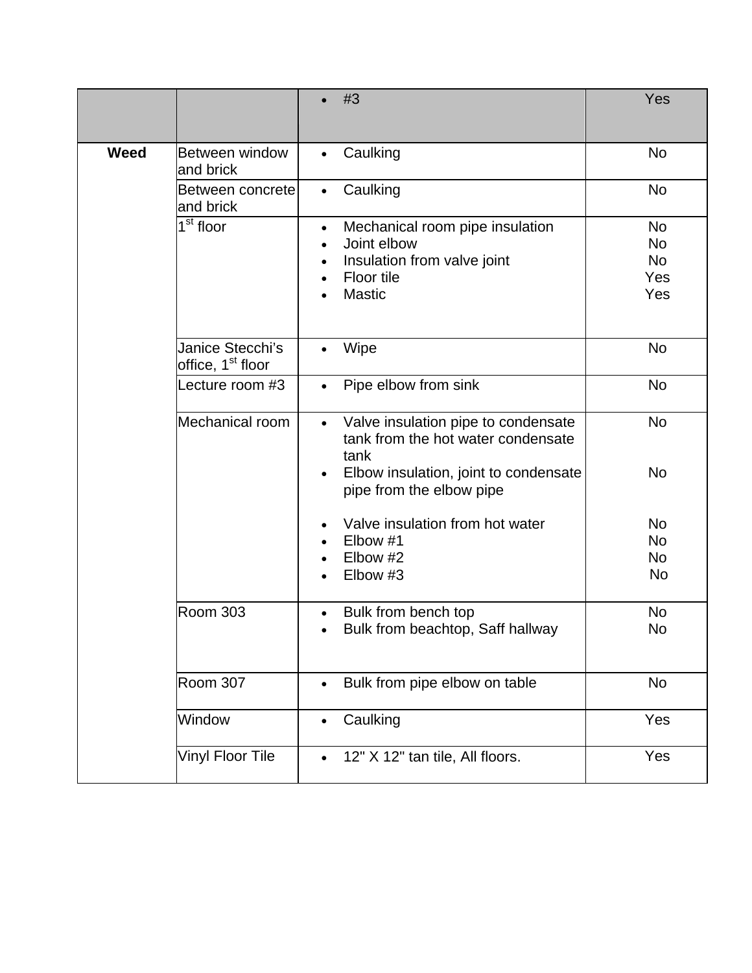|             |                                                   | #3                                                                                             | Yes       |
|-------------|---------------------------------------------------|------------------------------------------------------------------------------------------------|-----------|
| <b>Weed</b> | Between window<br>and brick                       | Caulking<br>$\bullet$                                                                          | <b>No</b> |
|             | Between concrete<br>and brick                     | Caulking<br>$\bullet$                                                                          | <b>No</b> |
|             | 1 <sup>st</sup> floor                             | Mechanical room pipe insulation<br>$\bullet$                                                   | <b>No</b> |
|             |                                                   | Joint elbow<br>$\bullet$                                                                       | <b>No</b> |
|             |                                                   | Insulation from valve joint<br>$\bullet$                                                       | No        |
|             |                                                   | Floor tile<br>$\bullet$                                                                        | Yes       |
|             |                                                   | <b>Mastic</b><br>$\bullet$                                                                     | Yes       |
|             | Janice Stecchi's<br>office, 1 <sup>st</sup> floor | Wipe<br>$\bullet$                                                                              | <b>No</b> |
|             | Lecture room #3                                   | Pipe elbow from sink<br>$\bullet$                                                              | <b>No</b> |
|             | Mechanical room                                   | Valve insulation pipe to condensate<br>$\bullet$<br>tank from the hot water condensate<br>tank | <b>No</b> |
|             |                                                   | Elbow insulation, joint to condensate<br>$\bullet$<br>pipe from the elbow pipe                 | <b>No</b> |
|             |                                                   | Valve insulation from hot water                                                                | <b>No</b> |
|             |                                                   | Elbow #1<br>$\bullet$                                                                          | <b>No</b> |
|             |                                                   | Elbow #2<br>$\bullet$                                                                          | <b>No</b> |
|             |                                                   | Elbow #3                                                                                       | <b>No</b> |
|             | <b>Room 303</b>                                   | Bulk from bench top<br>$\bullet$                                                               | <b>No</b> |
|             |                                                   | Bulk from beachtop, Saff hallway<br>$\bullet$                                                  | <b>No</b> |
|             | Room 307                                          | Bulk from pipe elbow on table<br>$\bullet$                                                     | No        |
|             | Window                                            | Caulking<br>$\bullet$                                                                          | Yes       |
|             | <b>Vinyl Floor Tile</b>                           | 12" X 12" tan tile, All floors.<br>$\bullet$                                                   | Yes       |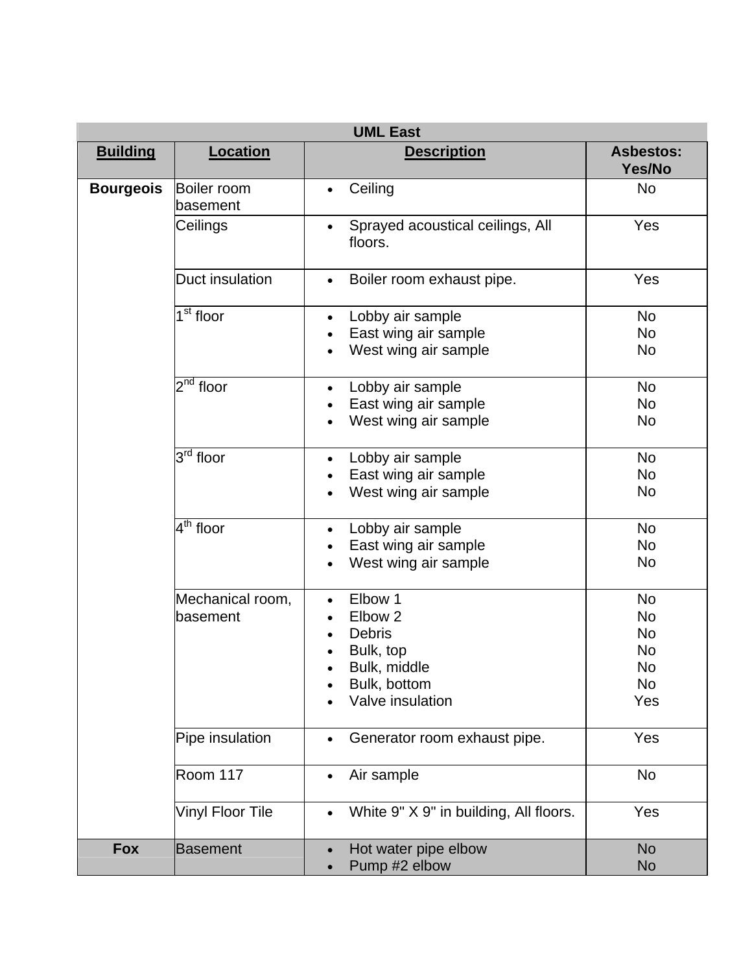| <b>UML East</b>  |                                  |                                                                                                                              |                                                                     |
|------------------|----------------------------------|------------------------------------------------------------------------------------------------------------------------------|---------------------------------------------------------------------|
| <b>Building</b>  | <b>Location</b>                  | <b>Description</b>                                                                                                           | <b>Asbestos:</b><br>Yes/No                                          |
| <b>Bourgeois</b> | Boiler room<br>basement          | Ceiling<br>$\bullet$                                                                                                         | <b>No</b>                                                           |
|                  | Ceilings                         | Sprayed acoustical ceilings, All<br>floors.                                                                                  | Yes                                                                 |
|                  | Duct insulation                  | Boiler room exhaust pipe.<br>$\bullet$                                                                                       | Yes                                                                 |
|                  | 1 <sup>st</sup> floor            | Lobby air sample<br>$\bullet$<br>East wing air sample<br>West wing air sample                                                | <b>No</b><br><b>No</b><br><b>No</b>                                 |
|                  | $2^{nd}$ floor                   | Lobby air sample<br>$\bullet$<br>East wing air sample<br>West wing air sample                                                | <b>No</b><br><b>No</b><br><b>No</b>                                 |
|                  | $\overline{3}^{\text{rd}}$ floor | Lobby air sample<br>$\bullet$<br>East wing air sample<br>$\bullet$<br>West wing air sample                                   | <b>No</b><br><b>No</b><br><b>No</b>                                 |
|                  | $4^{\mathsf{th}}$ floor          | Lobby air sample<br>East wing air sample<br>West wing air sample                                                             | <b>No</b><br>No<br><b>No</b>                                        |
|                  | Mechanical room,<br>basement     | Elbow 1<br>$\bullet$<br>Elbow <sub>2</sub><br><b>Debris</b><br>Bulk, top<br>Bulk, middle<br>Bulk, bottom<br>Valve insulation | <b>No</b><br><b>No</b><br><b>No</b><br>No<br><b>No</b><br>No<br>Yes |
|                  | Pipe insulation                  | Generator room exhaust pipe.<br>$\bullet$                                                                                    | Yes                                                                 |
|                  | Room 117                         | Air sample                                                                                                                   | <b>No</b>                                                           |
|                  | <b>Vinyl Floor Tile</b>          | White 9" X 9" in building, All floors.<br>$\bullet$                                                                          | Yes                                                                 |
| <b>Fox</b>       | <b>Basement</b>                  | Hot water pipe elbow<br>Pump #2 elbow                                                                                        | <b>No</b><br><b>No</b>                                              |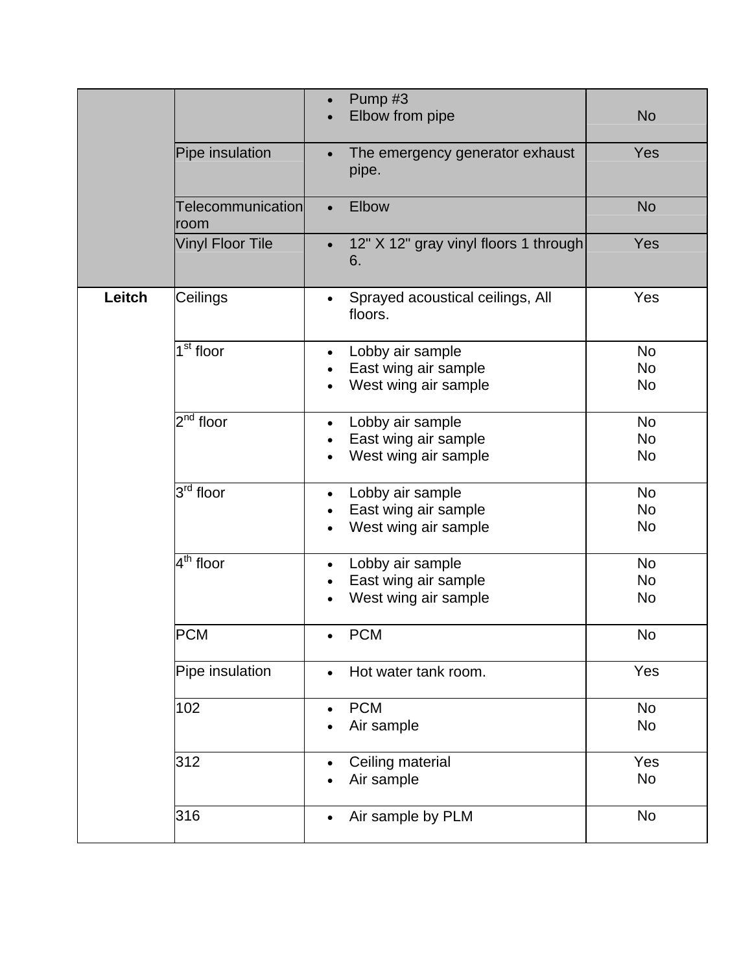|        |                           | Pump #3<br>Elbow from pipe                               | <b>No</b>       |
|--------|---------------------------|----------------------------------------------------------|-----------------|
|        | Pipe insulation           | The emergency generator exhaust<br>pipe.                 | Yes             |
|        | Telecommunication<br>room | Elbow                                                    | <b>No</b>       |
|        | <b>Vinyl Floor Tile</b>   | 12" X 12" gray vinyl floors 1 through<br>6.              | Yes             |
| Leitch | Ceilings                  | Sprayed acoustical ceilings, All<br>$\bullet$<br>floors. | Yes             |
|        | 1 <sup>st</sup> floor     | Lobby air sample                                         | No              |
|        |                           | East wing air sample<br>West wing air sample             | No<br><b>No</b> |
|        |                           |                                                          |                 |
|        | $2^{nd}$ floor            | Lobby air sample                                         | <b>No</b>       |
|        |                           | East wing air sample                                     | No              |
|        |                           | West wing air sample                                     | No              |
|        | 3 <sup>rd</sup> floor     | Lobby air sample                                         | <b>No</b>       |
|        |                           | East wing air sample                                     | No              |
|        |                           | West wing air sample                                     | <b>No</b>       |
|        | $4^{\text{th}}$ floor     | Lobby air sample                                         | <b>No</b>       |
|        |                           | East wing air sample                                     | No              |
|        |                           | West wing air sample                                     | <b>No</b>       |
|        | <b>PCM</b>                | <b>PCM</b><br>$\bullet$                                  | No              |
|        | Pipe insulation           | Hot water tank room.<br>$\bullet$                        | Yes             |
|        | 102                       | <b>PCM</b>                                               | <b>No</b>       |
|        |                           | Air sample                                               | No              |
|        | 312                       | Ceiling material<br>$\bullet$                            | Yes             |
|        |                           | Air sample                                               | No              |
|        | 316                       | Air sample by PLM<br>$\bullet$                           | <b>No</b>       |